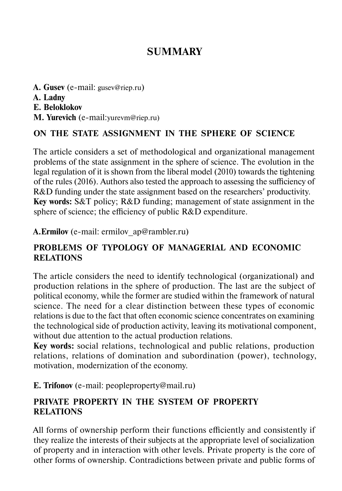# **SUMMARY**

**A. Gusev** (e-mail: gusev@riep.ru) **А. Ladny Е. Beloklokov М. Yurevich** (e-mail:yurevm@riep.ru)

### **ON THE STATE ASSIGNMENT IN THE SPHERE OF SCIENCE**

The article considers a set of methodological and organizational management problems of the state assignment in the sphere of science. The evolution in the legal regulation of it is shown from the liberal model (2010) towards the tightening of the rules (2016). Authors also tested the approach to assessing the sufficiency of R&D funding under the state assignment based on the researchers' productivity. **Key words:** S&T policy; R&D funding; management of state assignment in the sphere of science; the efficiency of public R&D expenditure.

**A.Ermilov** (e-mail: ermilov ap@rambler.ru)

### **PROBLEMS OF TYPOLOGY OF MANAGERIAL AND ECONOMIC RELATIONS**

The article considers the need to identify technological (organizational) and production relations in the sphere of production. The last are the subject of political economy, while the former are studied within the framework of natural science. The need for a clear distinction between these types of economic relations is due to the fact that often economic science concentrates on examining the technological side of production activity, leaving its motivational component, without due attention to the actual production relations.

**Key words:** social relations, technological and public relations, production relations, relations of domination and subordination (power), technology, motivation, modernization of the economy.

**E. Trifonov** (e-mail: peopleproperty@mail.ru)

### **PRIVATE PROPERTY IN THE SYSTEM OF PROPERTY RELATIONS**

All forms of ownership perform their functions efficiently and consistently if they realize the interests of their subjects at the appropriate level of socialization of property and in interaction with other levels. Private property is the core of other forms of ownership. Contradictions between private and public forms of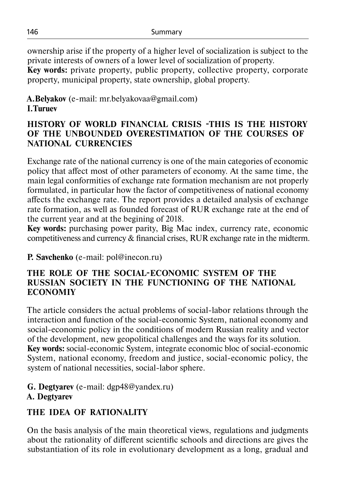ownership arise if the property of a higher level of socialization is subject to the private interests of owners of a lower level of socialization of property.

**Key words:** private property, public property, collective property, corporate property, municipal property, state ownership, global property.

## **A.Belyakov** (e-mail: mr.belyakovaa@gmail.com) **I.Turuev**

### **HISTORY OF WORLD FINANCIAL CRISIS -THIS IS THE HISTORY OF THE UNBOUNDED OVERESTIMATION OF THE COURSES OF NATIONAL CURRENCIES**

Exchange rate of the national currency is one of the main categories of economic policy that affect most of other parameters of economy. At the same time, the main legal conformities of exchange rate formation mechanism are not properly formulated, in particular how the factor of competitiveness of national economy affects the exchange rate. The report provides a detailed analysis of exchange rate formation, as well as founded forecast of RUR exchange rate at the end of the current year and at the begining of 2018.

**Key words:** purchasing power parity, Big Mac index, currency rate, economic competitiveness and currency & financial crises, RUR exchange rate in the midterm.

**P. Savchenko** (e-mail: pol@inecon.ru)

#### **THE ROLE OF THE SOCIAL-ECONOMIC SYSTEM OF THE RUSSIAN SOCIETY IN THE FUNCTIONING OF THE NATIONAL ECONOMIY**

The article considers the actual problems of social-labor relations through the interaction and function of the social-economic System, national economy and social-economic policy in the conditions of modern Russian reality and vector of the development, new geopolitical challenges and the ways for its solution. **Key words:** social-economic System, integrate economic bloc of social-economic System, national economy, freedom and justice, social-economic policy, the system of national necessities, social-labor sphere.

**G. Degtyarev** (e-mail: dgp48@yandex.ru) **A. Degtyarev**

# **THE IDEA OF RATIONALITY**

On the basis analysis of the main theoretical views, regulations and judgments about the rationality of different scientific schools and directions are gives the substantiation of its role in evolutionary development as a long, gradual and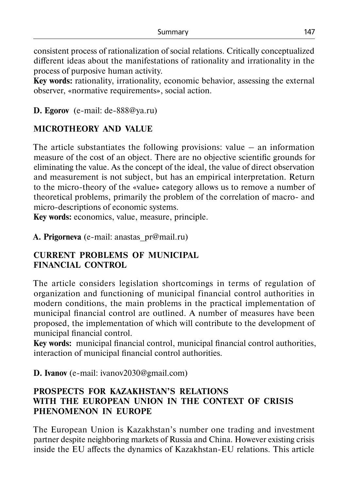consistent process of rationalization of social relations. Critically conceptualized different ideas about the manifestations of rationality and irrationality in the process of purposive human activity.

**Key words:** rationality, irrationality, economic behavior, assessing the external observer, «normative requirements», social action.

### **D. Egorov** (e-mail: de-888@ya.ru)

## **MICROTHEORY AND VALUE**

The article substantiates the following provisions: value  $-$  an information measure of the cost of an object. There are no objective scientific grounds for eliminating the value. As the concept of the ideal, the value of direct observation and measurement is not subject, but has an empirical interpretation. Return to the micro-theory of the «value» category allows us to remove a number of theoretical problems, primarily the problem of the correlation of macro- and micro-descriptions of economic systems.

**Key words:** economics, value, measure, principle.

**А. Prigorneva** (e-mail: anastas\_pr@mail.ru)

### **CURRENT PROBLEMS OF MUNICIPAL FINANCIAL CONTROL**

The article considers legislation shortcomings in terms of regulation of organization and functioning of municipal financial control authorities in modern conditions, the main problems in the practical implementation of municipal financial control are outlined. A number of measures have been proposed, the implementation of which will contribute to the development of municipal financial control.

**Key words:** municipal financial control, municipal financial control authorities, interaction of municipal financial control authorities.

**D. Ivanov** (e-mail: ivanov2030@gmail.com)

### **PROSPECTS FOR KAZAKHSTAN'S RELATIONS WITH THE EUROPEAN UNION IN THE CONTEXT OF CRISIS PHENOMENON IN EUROPE**

The European Union is Kazakhstan's number one trading and investment partner despite neighboring markets of Russia and China. However existing crisis inside the EU affects the dynamics of Kazakhstan-EU relations. This article